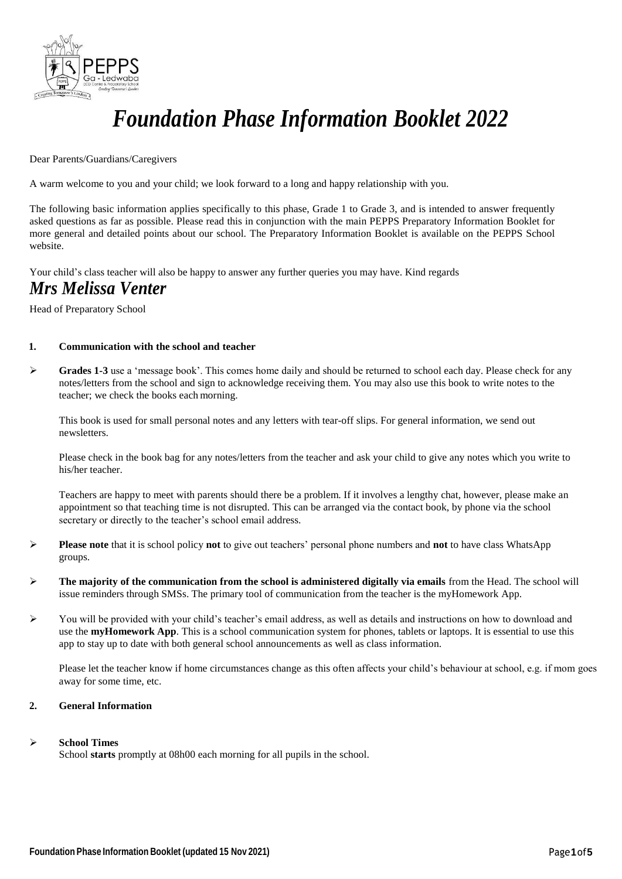

# *Foundation Phase Information Booklet 2022*

#### Dear Parents/Guardians/Caregivers

A warm welcome to you and your child; we look forward to a long and happy relationship with you.

The following basic information applies specifically to this phase, Grade 1 to Grade 3, and is intended to answer frequently asked questions as far as possible. Please read this in conjunction with the main PEPPS Preparatory Information Booklet for more general and detailed points about our school. The Preparatory Information Booklet is available on the PEPPS School website.

Your child's class teacher will also be happy to answer any further queries you may have. Kind regards

### *Mrs Melissa Venter*

Head of Preparatory School

#### **1. Communication with the school and teacher**

 **Grades 1-3** use a 'message book'. This comes home daily and should be returned to school each day. Please check for any notes/letters from the school and sign to acknowledge receiving them. You may also use this book to write notes to the teacher; we check the books each morning.

This book is used for small personal notes and any letters with tear-off slips. For general information, we send out newsletters.

Please check in the book bag for any notes/letters from the teacher and ask your child to give any notes which you write to his/her teacher.

Teachers are happy to meet with parents should there be a problem. If it involves a lengthy chat, however, please make an appointment so that teaching time is not disrupted. This can be arranged via the contact book, by phone via the school secretary or directly to the teacher's school email address.

- **Please note** that it is school policy **not** to give out teachers' personal phone numbers and **not** to have class WhatsApp groups.
- **The majority of the communication from the school is administered digitally via emails** from the Head. The school will issue reminders through SMSs. The primary tool of communication from the teacher is the myHomework App.
- You will be provided with your child's teacher's email address, as well as details and instructions on how to download and use the **myHomework App**. This is a school communication system for phones, tablets or laptops. It is essential to use this app to stay up to date with both general school announcements as well as class information.

Please let the teacher know if home circumstances change as this often affects your child's behaviour at school, e.g. if mom goes away for some time, etc.

#### **2. General Information**

#### **School Times**

School **starts** promptly at 08h00 each morning for all pupils in the school.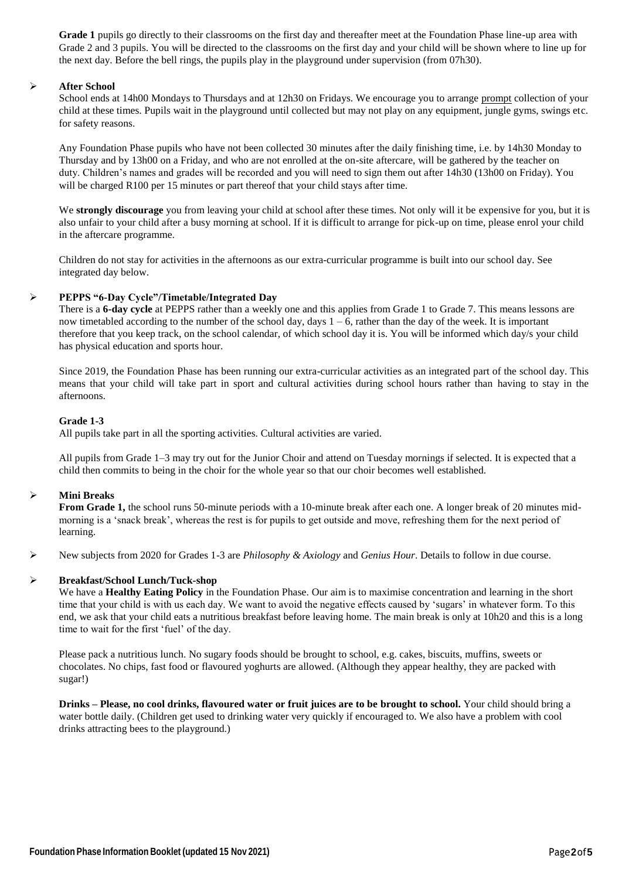**Grade 1** pupils go directly to their classrooms on the first day and thereafter meet at the Foundation Phase line-up area with Grade 2 and 3 pupils. You will be directed to the classrooms on the first day and your child will be shown where to line up for the next day. Before the bell rings, the pupils play in the playground under supervision (from 07h30).

#### **After School**

School ends at 14h00 Mondays to Thursdays and at 12h30 on Fridays. We encourage you to arrange prompt collection of your child at these times. Pupils wait in the playground until collected but may not play on any equipment, jungle gyms, swings etc. for safety reasons.

Any Foundation Phase pupils who have not been collected 30 minutes after the daily finishing time, i.e. by 14h30 Monday to Thursday and by 13h00 on a Friday, and who are not enrolled at the on-site aftercare, will be gathered by the teacher on duty. Children's names and grades will be recorded and you will need to sign them out after 14h30 (13h00 on Friday). You will be charged R100 per 15 minutes or part thereof that your child stays after time.

We **strongly discourage** you from leaving your child at school after these times. Not only will it be expensive for you, but it is also unfair to your child after a busy morning at school. If it is difficult to arrange for pick-up on time, please enrol your child in the aftercare programme.

Children do not stay for activities in the afternoons as our extra-curricular programme is built into our school day. See integrated day below.

#### **PEPPS "6-Day Cycle"/Timetable/Integrated Day**

There is a **6-day cycle** at PEPPS rather than a weekly one and this applies from Grade 1 to Grade 7. This means lessons are now timetabled according to the number of the school day, days  $1 - 6$ , rather than the day of the week. It is important therefore that you keep track, on the school calendar, of which school day it is. You will be informed which day/s your child has physical education and sports hour.

Since 2019, the Foundation Phase has been running our extra-curricular activities as an integrated part of the school day. This means that your child will take part in sport and cultural activities during school hours rather than having to stay in the afternoons.

#### **Grade 1-3**

All pupils take part in all the sporting activities. Cultural activities are varied.

All pupils from Grade 1–3 may try out for the Junior Choir and attend on Tuesday mornings if selected. It is expected that a child then commits to being in the choir for the whole year so that our choir becomes well established.

#### **Mini Breaks**

**From Grade 1,** the school runs 50-minute periods with a 10-minute break after each one. A longer break of 20 minutes midmorning is a 'snack break', whereas the rest is for pupils to get outside and move, refreshing them for the next period of learning.

New subjects from 2020 for Grades 1-3 are *Philosophy & Axiology* and *Genius Hour*. Details to follow in due course.

#### **Breakfast/School Lunch/Tuck-shop**

We have a **Healthy Eating Policy** in the Foundation Phase. Our aim is to maximise concentration and learning in the short time that your child is with us each day. We want to avoid the negative effects caused by 'sugars' in whatever form. To this end, we ask that your child eats a nutritious breakfast before leaving home. The main break is only at 10h20 and this is a long time to wait for the first 'fuel' of the day.

Please pack a nutritious lunch. No sugary foods should be brought to school, e.g. cakes, biscuits, muffins, sweets or chocolates. No chips, fast food or flavoured yoghurts are allowed. (Although they appear healthy, they are packed with sugar!)

**Drinks – Please, no cool drinks, flavoured water or fruit juices are to be brought to school.** Your child should bring a water bottle daily. (Children get used to drinking water very quickly if encouraged to. We also have a problem with cool drinks attracting bees to the playground.)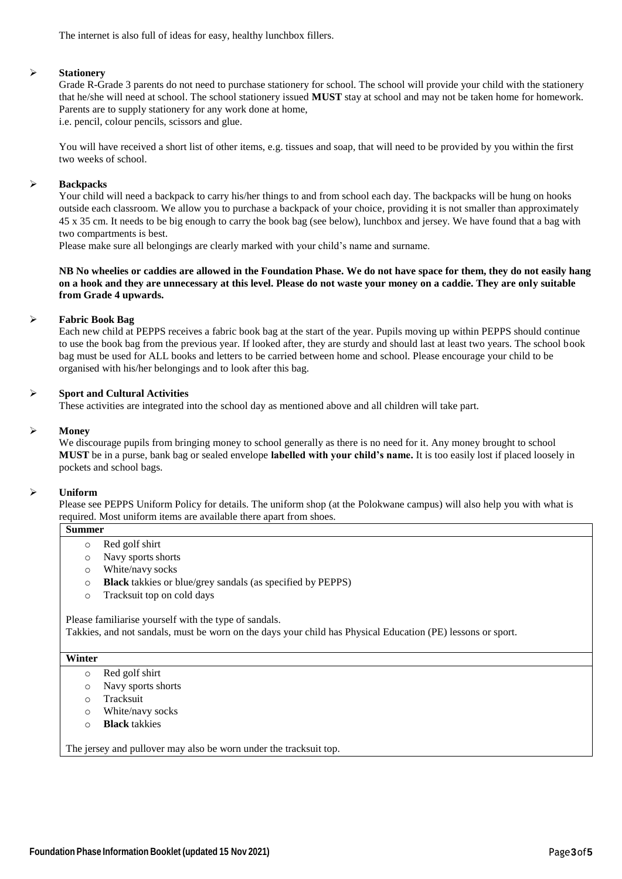The internet is also full of ideas for easy, healthy lunchbox fillers.

#### **Stationery**

Grade R-Grade 3 parents do not need to purchase stationery for school. The school will provide your child with the stationery that he/she will need at school. The school stationery issued **MUST** stay at school and may not be taken home for homework. Parents are to supply stationery for any work done at home, i.e. pencil, colour pencils, scissors and glue.

You will have received a short list of other items, e.g. tissues and soap, that will need to be provided by you within the first two weeks of school.

#### **Backpacks**

Your child will need a backpack to carry his/her things to and from school each day. The backpacks will be hung on hooks outside each classroom. We allow you to purchase a backpack of your choice, providing it is not smaller than approximately 45 x 35 cm. It needs to be big enough to carry the book bag (see below), lunchbox and jersey. We have found that a bag with two compartments is best.

Please make sure all belongings are clearly marked with your child's name and surname.

**NB No wheelies or caddies are allowed in the Foundation Phase. We do not have space for them, they do not easily hang on a hook and they are unnecessary at this level. Please do not waste your money on a caddie. They are only suitable from Grade 4 upwards.**

#### **Fabric Book Bag**

Each new child at PEPPS receives a fabric book bag at the start of the year. Pupils moving up within PEPPS should continue to use the book bag from the previous year. If looked after, they are sturdy and should last at least two years. The school book bag must be used for ALL books and letters to be carried between home and school. Please encourage your child to be organised with his/her belongings and to look after this bag.

#### **Sport and Cultural Activities**

These activities are integrated into the school day as mentioned above and all children will take part.

#### **Money**

We discourage pupils from bringing money to school generally as there is no need for it. Any money brought to school **MUST** be in a purse, bank bag or sealed envelope **labelled with your child's name.** It is too easily lost if placed loosely in pockets and school bags.

#### **Uniform**

Please see PEPPS Uniform Policy for details. The uniform shop (at the Polokwane campus) will also help you with what is required. Most uniform items are available there apart from shoes.

- **Summer**
	- o Red golf shirt
	- o Navy sports shorts
	- o White/navy socks
	- o **Black** takkies or blue/grey sandals (as specified by PEPPS)
	- o Tracksuit top on cold days

Please familiarise yourself with the type of sandals. Takkies, and not sandals, must be worn on the days your child has Physical Education (PE) lessons or sport.

#### **Winter**

- o Red golf shirt
- o Navy sports shorts
- o Tracksuit
- o White/navy socks
- o **Black** takkies

The jersey and pullover may also be worn under the tracksuit top.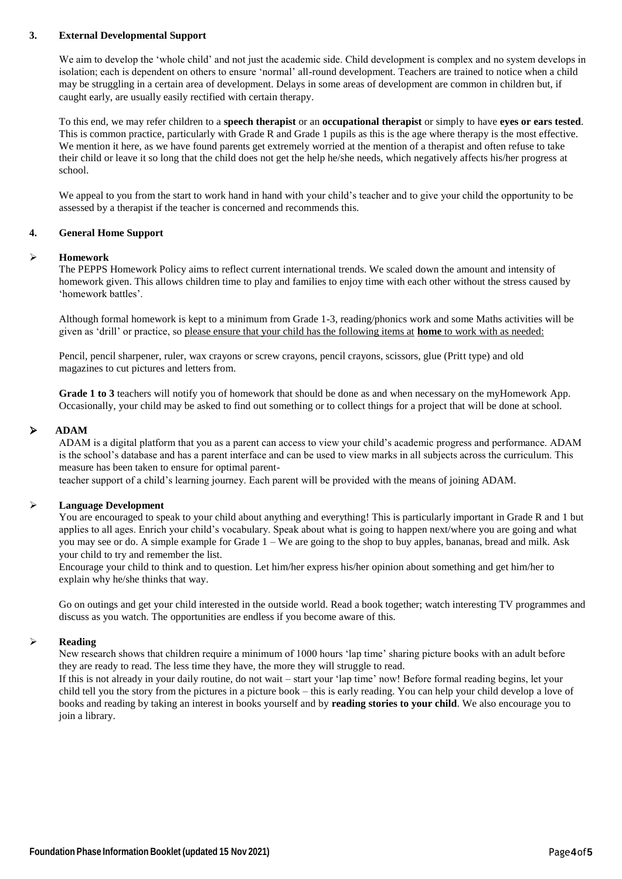#### **3. External Developmental Support**

We aim to develop the 'whole child' and not just the academic side. Child development is complex and no system develops in isolation; each is dependent on others to ensure 'normal' all-round development. Teachers are trained to notice when a child may be struggling in a certain area of development. Delays in some areas of development are common in children but, if caught early, are usually easily rectified with certain therapy.

To this end, we may refer children to a **speech therapist** or an **occupational therapist** or simply to have **eyes or ears tested**. This is common practice, particularly with Grade R and Grade 1 pupils as this is the age where therapy is the most effective. We mention it here, as we have found parents get extremely worried at the mention of a therapist and often refuse to take their child or leave it so long that the child does not get the help he/she needs, which negatively affects his/her progress at school.

We appeal to you from the start to work hand in hand with your child's teacher and to give your child the opportunity to be assessed by a therapist if the teacher is concerned and recommends this.

#### **4. General Home Support**

#### **Homework**

The PEPPS Homework Policy aims to reflect current international trends. We scaled down the amount and intensity of homework given. This allows children time to play and families to enjoy time with each other without the stress caused by 'homework battles'.

Although formal homework is kept to a minimum from Grade 1-3, reading/phonics work and some Maths activities will be given as 'drill' or practice, so please ensure that your child has the following items at **home** to work with as needed:

Pencil, pencil sharpener, ruler, wax crayons or screw crayons, pencil crayons, scissors, glue (Pritt type) and old magazines to cut pictures and letters from.

**Grade 1 to 3** teachers will notify you of homework that should be done as and when necessary on the myHomework App. Occasionally, your child may be asked to find out something or to collect things for a project that will be done at school.

#### **ADAM**

ADAM is a digital platform that you as a parent can access to view your child's academic progress and performance. ADAM is the school's database and has a parent interface and can be used to view marks in all subjects across the curriculum. This measure has been taken to ensure for optimal parent-

teacher support of a child's learning journey. Each parent will be provided with the means of joining ADAM.

#### **Language Development**

You are encouraged to speak to your child about anything and everything! This is particularly important in Grade R and 1 but applies to all ages. Enrich your child's vocabulary. Speak about what is going to happen next/where you are going and what you may see or do. A simple example for Grade 1 – We are going to the shop to buy apples, bananas, bread and milk. Ask your child to try and remember the list.

Encourage your child to think and to question. Let him/her express his/her opinion about something and get him/her to explain why he/she thinks that way.

Go on outings and get your child interested in the outside world. Read a book together; watch interesting TV programmes and discuss as you watch. The opportunities are endless if you become aware of this.

#### **Reading**

New research shows that children require a minimum of 1000 hours 'lap time' sharing picture books with an adult before they are ready to read. The less time they have, the more they will struggle to read.

If this is not already in your daily routine, do not wait – start your 'lap time' now! Before formal reading begins, let your child tell you the story from the pictures in a picture book – this is early reading. You can help your child develop a love of books and reading by taking an interest in books yourself and by **reading stories to your child**. We also encourage you to join a library.